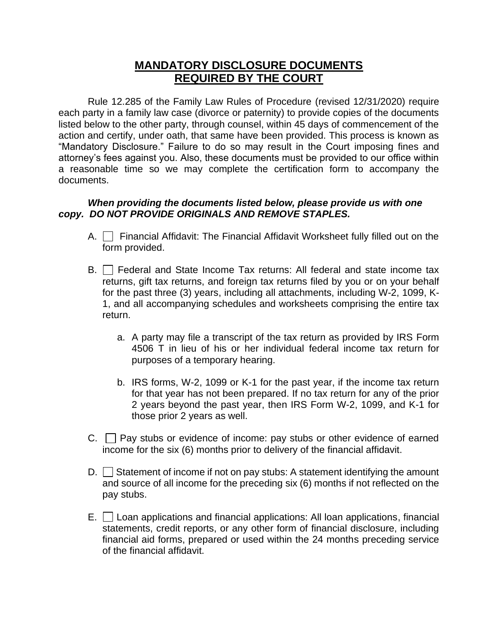## **MANDATORY DISCLOSURE DOCUMENTS REQUIRED BY THE COURT**

Rule 12.285 of the Family Law Rules of Procedure (revised 12/31/2020) require each party in a family law case (divorce or paternity) to provide copies of the documents listed below to the other party, through counsel, within 45 days of commencement of the action and certify, under oath, that same have been provided. This process is known as "Mandatory Disclosure." Failure to do so may result in the Court imposing fines and attorney's fees against you. Also, these documents must be provided to our office within a reasonable time so we may complete the certification form to accompany the documents.

## *When providing the documents listed below, please provide us with one copy. DO NOT PROVIDE ORIGINALS AND REMOVE STAPLES.*

- A. **Financial Affidavit: The Financial Affidavit Worksheet fully filled out on the** form provided.
- $B.$   $\Box$  Federal and State Income Tax returns: All federal and state income tax returns, gift tax returns, and foreign tax returns filed by you or on your behalf for the past three (3) years, including all attachments, including W-2, 1099, K-1, and all accompanying schedules and worksheets comprising the entire tax return.
	- a. A party may file a transcript of the tax return as provided by IRS Form 4506 T in lieu of his or her individual federal income tax return for purposes of a temporary hearing.
	- b. IRS forms, W-2, 1099 or K-1 for the past year, if the income tax return for that year has not been prepared. If no tax return for any of the prior 2 years beyond the past year, then IRS Form W-2, 1099, and K-1 for those prior 2 years as well.
- $C.$   $\Box$  Pay stubs or evidence of income: pay stubs or other evidence of earned income for the six (6) months prior to delivery of the financial affidavit.
- $D.$  Statement of income if not on pay stubs: A statement identifying the amount and source of all income for the preceding six (6) months if not reflected on the pay stubs.
- $E.$   $\Box$  Loan applications and financial applications: All loan applications, financial statements, credit reports, or any other form of financial disclosure, including financial aid forms, prepared or used within the 24 months preceding service of the financial affidavit.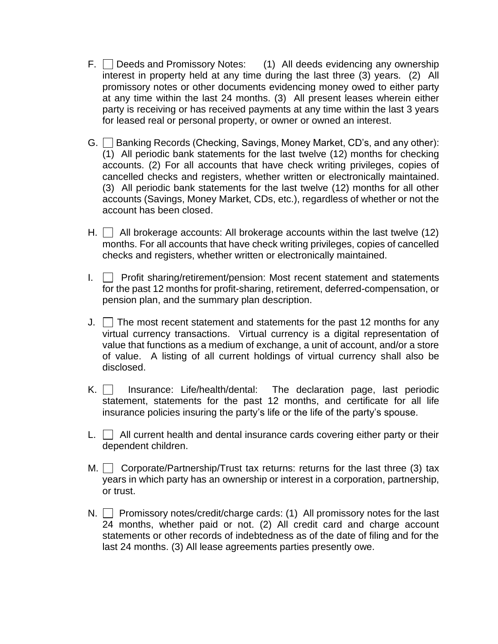- $F.$  Deeds and Promissory Notes:  $(1)$  All deeds evidencing any ownership interest in property held at any time during the last three (3) years. (2) All promissory notes or other documents evidencing money owed to either party at any time within the last 24 months. (3) All present leases wherein either party is receiving or has received payments at any time within the last 3 years for leased real or personal property, or owner or owned an interest.
- G. Banking Records (Checking, Savings, Money Market, CD's, and any other): (1) All periodic bank statements for the last twelve (12) months for checking accounts. (2) For all accounts that have check writing privileges, copies of cancelled checks and registers, whether written or electronically maintained. (3) All periodic bank statements for the last twelve (12) months for all other accounts (Savings, Money Market, CDs, etc.), regardless of whether or not the account has been closed.
- H.  $\Box$  All brokerage accounts: All brokerage accounts within the last twelve (12) months. For all accounts that have check writing privileges, copies of cancelled checks and registers, whether written or electronically maintained.
- I.  $\Box$  Profit sharing/retirement/pension: Most recent statement and statements for the past 12 months for profit-sharing, retirement, deferred-compensation, or pension plan, and the summary plan description.
- J.  $\Box$  The most recent statement and statements for the past 12 months for any virtual currency transactions. Virtual currency is a digital representation of value that functions as a medium of exchange, a unit of account, and/or a store of value. A listing of all current holdings of virtual currency shall also be disclosed.
- $K.$  Insurance: Life/health/dental: The declaration page, last periodic statement, statements for the past 12 months, and certificate for all life insurance policies insuring the party's life or the life of the party's spouse.
- $L.$   $\Box$  All current health and dental insurance cards covering either party or their dependent children.
- M.  $\Box$  Corporate/Partnership/Trust tax returns: returns for the last three (3) tax years in which party has an ownership or interest in a corporation, partnership, or trust.
- N.  $\Box$  Promissory notes/credit/charge cards: (1) All promissory notes for the last 24 months, whether paid or not. (2) All credit card and charge account statements or other records of indebtedness as of the date of filing and for the last 24 months. (3) All lease agreements parties presently owe.